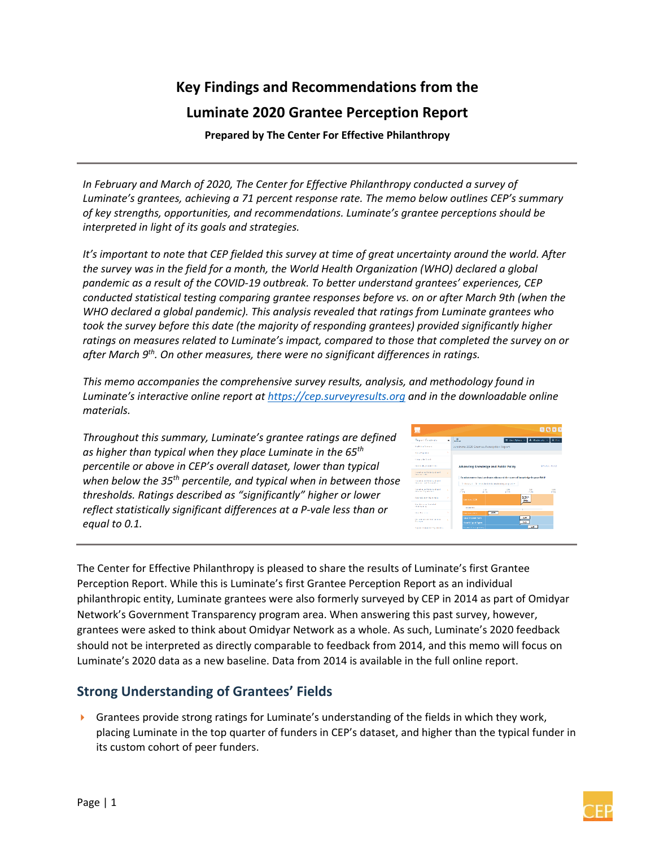# **Key Findings and Recommendations from the Luminate 2020 Grantee Perception Report**

 **Prepared by The Center For Effective Philanthropy** 

*In February and March of 2020, The Center for Effective Philanthropy conducted a survey of Luminate's grantees, achieving a 71 percent response rate. The memo below outlines CEP's summary of key strengths, opportunities, and recommendations. Luminate's grantee perceptions should be interpreted in light of its goals and strategies.* 

*It's important to note that CEP fielded this survey at time of great uncertainty around the world. After the survey was in the field for a month, the World Health Organization (WHO) declared a global pandemic as a result of the COVID‐19 outbreak. To better understand grantees' experiences, CEP conducted statistical testing comparing grantee responses before vs. on or after March 9th (when the WHO declared a global pandemic). This analysis revealed that ratings from Luminate grantees who took the survey before this date (the majority of responding grantees) provided significantly higher ratings on measures related to Luminate's impact, compared to those that completed the survey on or after March 9th. On other measures, there were no significant differences in ratings.* 

*This memo accompanies the comprehensive survey results, analysis, and methodology found in Luminate's interactive online report at https://cep.surveyresults.org and in the downloadable online materials.*

*Throughout this summary, Luminate's grantee ratings are defined as higher than typical when they place Luminate in the 65th percentile or above in CEP's overall dataset, lower than typical when below the 35th percentile, and typical when in between those thresholds. Ratings described as "significantly" higher or lower reflect statistically significant differences at a P‐vale less than or equal to 0.1.* 



The Center for Effective Philanthropy is pleased to share the results of Luminate's first Grantee Perception Report. While this is Luminate's first Grantee Perception Report as an individual philanthropic entity, Luminate grantees were also formerly surveyed by CEP in 2014 as part of Omidyar Network's Government Transparency program area. When answering this past survey, however, grantees were asked to think about Omidyar Network as a whole. As such, Luminate's 2020 feedback should not be interpreted as directly comparable to feedback from 2014, and this memo will focus on Luminate's 2020 data as a new baseline. Data from 2014 is available in the full online report.

# **Strong Understanding of Grantees' Fields**

 $\blacktriangleright$  Grantees provide strong ratings for Luminate's understanding of the fields in which they work, placing Luminate in the top quarter of funders in CEP's dataset, and higher than the typical funder in its custom cohort of peer funders.

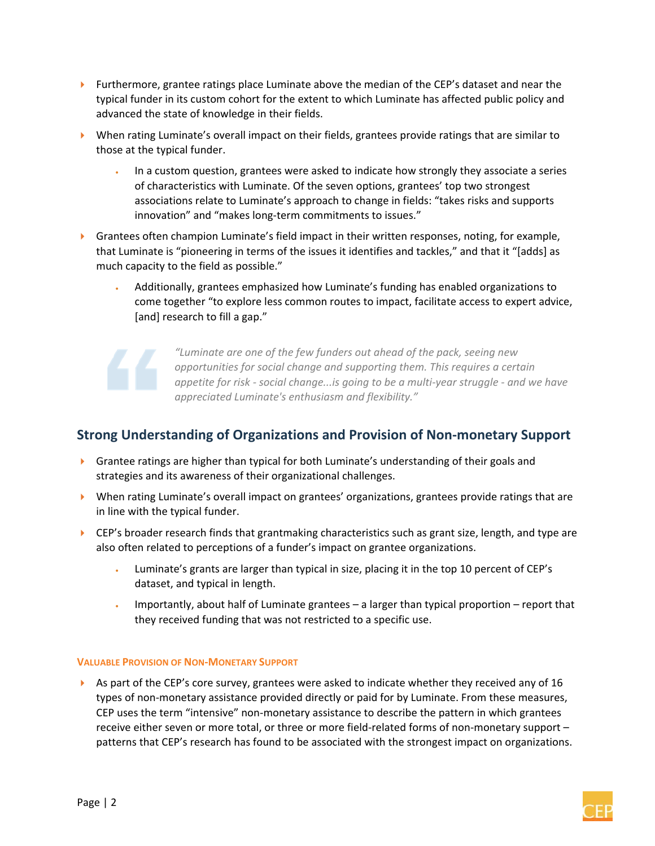- **Furthermore, grantee ratings place Luminate above the median of the CEP's dataset and near the** typical funder in its custom cohort for the extent to which Luminate has affected public policy and advanced the state of knowledge in their fields.
- When rating Luminate's overall impact on their fields, grantees provide ratings that are similar to those at the typical funder.
	- In a custom question, grantees were asked to indicate how strongly they associate a series of characteristics with Luminate. Of the seven options, grantees' top two strongest associations relate to Luminate's approach to change in fields: "takes risks and supports innovation" and "makes long-term commitments to issues."
- $\triangleright$  Grantees often champion Luminate's field impact in their written responses, noting, for example, that Luminate is "pioneering in terms of the issues it identifies and tackles," and that it "[adds] as much capacity to the field as possible."
	- Additionally, grantees emphasized how Luminate's funding has enabled organizations to come together "to explore less common routes to impact, facilitate access to expert advice, [and] research to fill a gap."

*"Luminate are one of the few funders out ahead of the pack, seeing new opportunities for social change and supporting them. This requires a certain appetite for risk ‐ social change...is going to be a multi‐year struggle ‐ and we have appreciated Luminate's enthusiasm and flexibility."* 

# **Strong Understanding of Organizations and Provision of Non‐monetary Support**

- Grantee ratings are higher than typical for both Luminate's understanding of their goals and strategies and its awareness of their organizational challenges.
- When rating Luminate's overall impact on grantees' organizations, grantees provide ratings that are in line with the typical funder.
- ▶ CEP's broader research finds that grantmaking characteristics such as grant size, length, and type are also often related to perceptions of a funder's impact on grantee organizations.
	- Luminate's grants are larger than typical in size, placing it in the top 10 percent of CEP's dataset, and typical in length.
	- Importantly, about half of Luminate grantees a larger than typical proportion report that they received funding that was not restricted to a specific use.

#### **VALUABLE PROVISION OF NON‐MONETARY SUPPORT**

As part of the CEP's core survey, grantees were asked to indicate whether they received any of 16 types of non‐monetary assistance provided directly or paid for by Luminate. From these measures, CEP uses the term "intensive" non‐monetary assistance to describe the pattern in which grantees receive either seven or more total, or three or more field-related forms of non-monetary support patterns that CEP's research has found to be associated with the strongest impact on organizations.

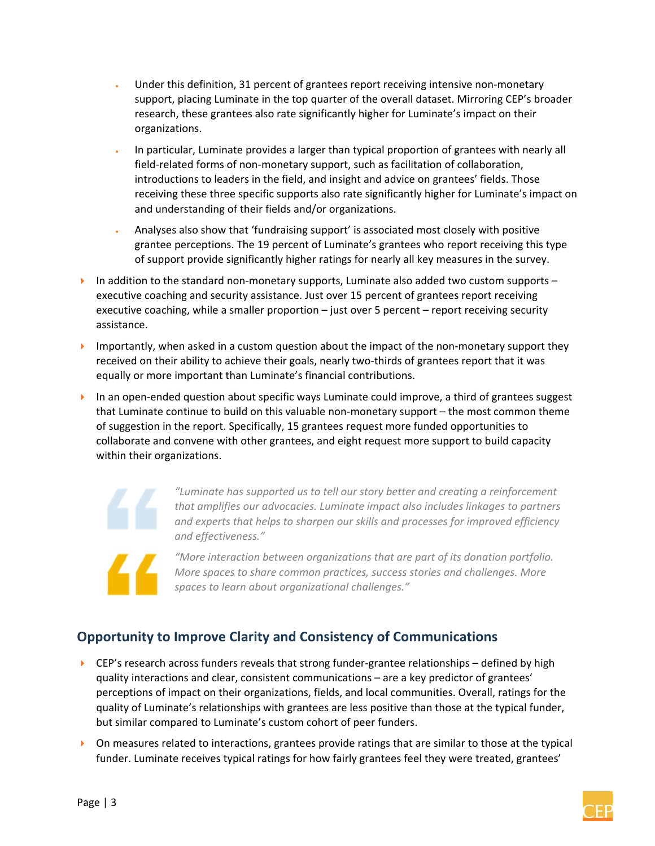- Under this definition, 31 percent of grantees report receiving intensive non‐monetary support, placing Luminate in the top quarter of the overall dataset. Mirroring CEP's broader research, these grantees also rate significantly higher for Luminate's impact on their organizations.
- In particular, Luminate provides a larger than typical proportion of grantees with nearly all field-related forms of non-monetary support, such as facilitation of collaboration, introductions to leaders in the field, and insight and advice on grantees' fields. Those receiving these three specific supports also rate significantly higher for Luminate's impact on and understanding of their fields and/or organizations.
- Analyses also show that 'fundraising support' is associated most closely with positive grantee perceptions. The 19 percent of Luminate's grantees who report receiving this type of support provide significantly higher ratings for nearly all key measures in the survey.
- In addition to the standard non‐monetary supports, Luminate also added two custom supports executive coaching and security assistance. Just over 15 percent of grantees report receiving executive coaching, while a smaller proportion – just over 5 percent – report receiving security assistance.
- ▶ Importantly, when asked in a custom question about the impact of the non-monetary support they received on their ability to achieve their goals, nearly two-thirds of grantees report that it was equally or more important than Luminate's financial contributions.
- ▶ In an open-ended question about specific ways Luminate could improve, a third of grantees suggest that Luminate continue to build on this valuable non‐monetary support – the most common theme of suggestion in the report. Specifically, 15 grantees request more funded opportunities to collaborate and convene with other grantees, and eight request more support to build capacity within their organizations.

*"Luminate has supported us to tell our story better and creating a reinforcement that amplifies our advocacies. Luminate impact also includes linkages to partners and experts that helps to sharpen our skills and processes for improved efficiency and effectiveness."*

*"More interaction between organizations that are part of its donation portfolio. More spaces to share common practices, success stories and challenges. More spaces to learn about organizational challenges."*

# **Opportunity to Improve Clarity and Consistency of Communications**

- ▶ CEP's research across funders reveals that strong funder-grantee relationships defined by high quality interactions and clear, consistent communications – are a key predictor of grantees' perceptions of impact on their organizations, fields, and local communities. Overall, ratings for the quality of Luminate's relationships with grantees are less positive than those at the typical funder, but similar compared to Luminate's custom cohort of peer funders.
- $\triangleright$  On measures related to interactions, grantees provide ratings that are similar to those at the typical funder. Luminate receives typical ratings for how fairly grantees feel they were treated, grantees'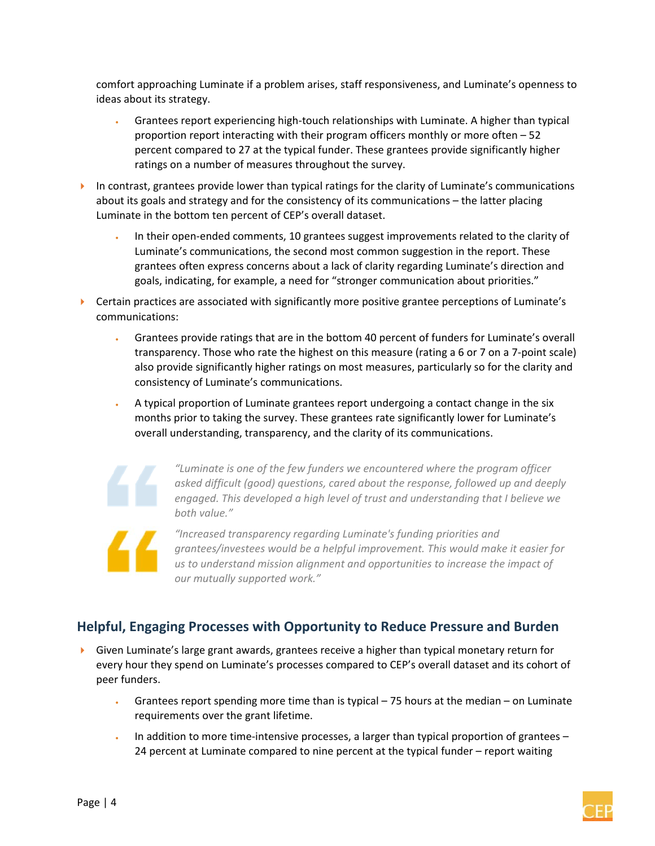comfort approaching Luminate if a problem arises, staff responsiveness, and Luminate's openness to ideas about its strategy.

- Grantees report experiencing high‐touch relationships with Luminate. A higher than typical proportion report interacting with their program officers monthly or more often – 52 percent compared to 27 at the typical funder. These grantees provide significantly higher ratings on a number of measures throughout the survey.
- In contrast, grantees provide lower than typical ratings for the clarity of Luminate's communications about its goals and strategy and for the consistency of its communications – the latter placing Luminate in the bottom ten percent of CEP's overall dataset.
	- In their open‐ended comments, 10 grantees suggest improvements related to the clarity of Luminate's communications, the second most common suggestion in the report. These grantees often express concerns about a lack of clarity regarding Luminate's direction and goals, indicating, for example, a need for "stronger communication about priorities."
- **EXEC** Certain practices are associated with significantly more positive grantee perceptions of Luminate's communications:
	- Grantees provide ratings that are in the bottom 40 percent of funders for Luminate's overall transparency. Those who rate the highest on this measure (rating a 6 or 7 on a 7‐point scale) also provide significantly higher ratings on most measures, particularly so for the clarity and consistency of Luminate's communications.
	- A typical proportion of Luminate grantees report undergoing a contact change in the six months prior to taking the survey. These grantees rate significantly lower for Luminate's overall understanding, transparency, and the clarity of its communications.



*"Luminate is one of the few funders we encountered where the program officer asked difficult (good) questions, cared about the response, followed up and deeply engaged. This developed a high level of trust and understanding that I believe we both value."* 



*"Increased transparency regarding Luminate's funding priorities and grantees/investees would be a helpful improvement. This would make it easier for us to understand mission alignment and opportunities to increase the impact of our mutually supported work."*

# **Helpful, Engaging Processes with Opportunity to Reduce Pressure and Burden**

- Given Luminate's large grant awards, grantees receive a higher than typical monetary return for every hour they spend on Luminate's processes compared to CEP's overall dataset and its cohort of peer funders.
	- Grantees report spending more time than is typical 75 hours at the median on Luminate requirements over the grant lifetime.
	- In addition to more time-intensive processes, a larger than typical proportion of grantees 24 percent at Luminate compared to nine percent at the typical funder – report waiting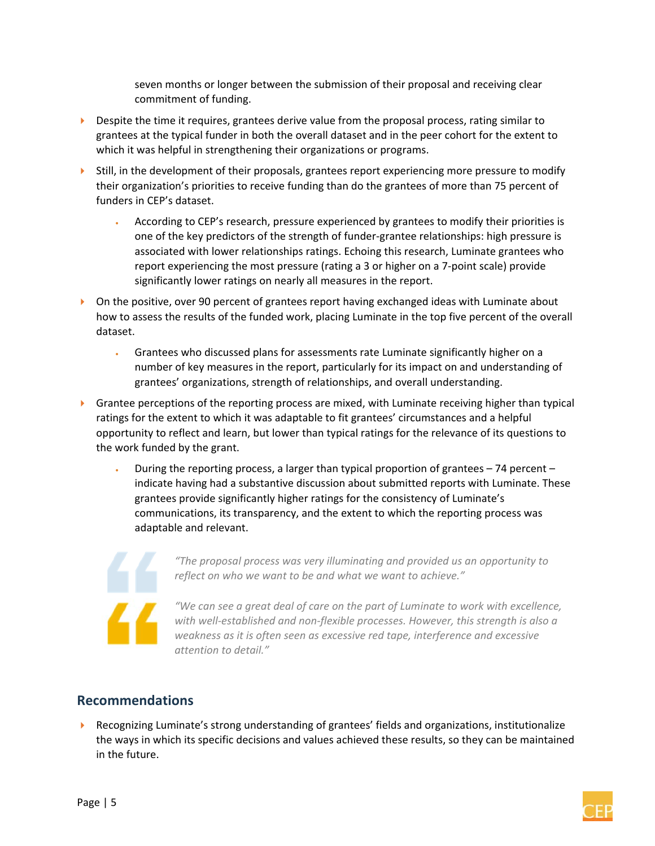seven months or longer between the submission of their proposal and receiving clear commitment of funding.

- $\triangleright$  Despite the time it requires, grantees derive value from the proposal process, rating similar to grantees at the typical funder in both the overall dataset and in the peer cohort for the extent to which it was helpful in strengthening their organizations or programs.
- $\triangleright$  Still, in the development of their proposals, grantees report experiencing more pressure to modify their organization's priorities to receive funding than do the grantees of more than 75 percent of funders in CEP's dataset.
	- According to CEP's research, pressure experienced by grantees to modify their priorities is one of the key predictors of the strength of funder‐grantee relationships: high pressure is associated with lower relationships ratings. Echoing this research, Luminate grantees who report experiencing the most pressure (rating a 3 or higher on a 7‐point scale) provide significantly lower ratings on nearly all measures in the report.
- ▶ On the positive, over 90 percent of grantees report having exchanged ideas with Luminate about how to assess the results of the funded work, placing Luminate in the top five percent of the overall dataset.
	- Grantees who discussed plans for assessments rate Luminate significantly higher on a number of key measures in the report, particularly for its impact on and understanding of grantees' organizations, strength of relationships, and overall understanding.
- **Grantee perceptions of the reporting process are mixed, with Luminate receiving higher than typical** ratings for the extent to which it was adaptable to fit grantees' circumstances and a helpful opportunity to reflect and learn, but lower than typical ratings for the relevance of its questions to the work funded by the grant.
	- During the reporting process, a larger than typical proportion of grantees 74 percent indicate having had a substantive discussion about submitted reports with Luminate. These grantees provide significantly higher ratings for the consistency of Luminate's communications, its transparency, and the extent to which the reporting process was adaptable and relevant.



*"The proposal process was very illuminating and provided us an opportunity to reflect on who we want to be and what we want to achieve."* 

*"We can see a great deal of care on the part of Luminate to work with excellence, with well‐established and non‐flexible processes. However, this strength is also a weakness as it is often seen as excessive red tape, interference and excessive attention to detail."*

# **Recommendations**

 Recognizing Luminate's strong understanding of grantees' fields and organizations, institutionalize the ways in which its specific decisions and values achieved these results, so they can be maintained in the future.